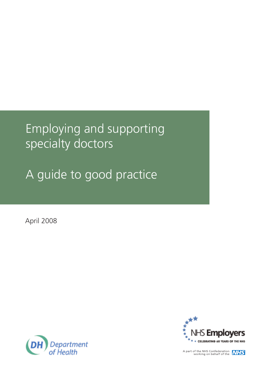# Employing and supporting specialty doctors

A guide to good practice

April 2008





A part of the NHS Confederation<br>working on behalf of the **NHS**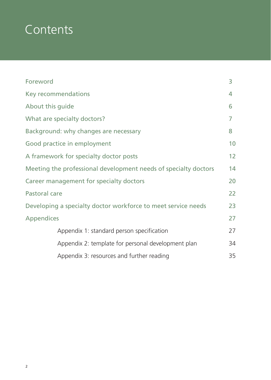# **Contents**

| Foreword                                                        | 3  |
|-----------------------------------------------------------------|----|
| Key recommendations                                             | 4  |
| About this guide                                                | 6  |
| What are specialty doctors?                                     | 7  |
| Background: why changes are necessary                           | 8  |
| Good practice in employment                                     | 10 |
| A framework for specialty doctor posts                          | 12 |
| Meeting the professional development needs of specialty doctors | 14 |
| Career management for specialty doctors                         | 20 |
| Pastoral care                                                   | 22 |
| Developing a specialty doctor workforce to meet service needs   | 23 |
| <b>Appendices</b>                                               | 27 |
| Appendix 1: standard person specification                       | 27 |
| Appendix 2: template for personal development plan              | 34 |
| Appendix 3: resources and further reading                       | 35 |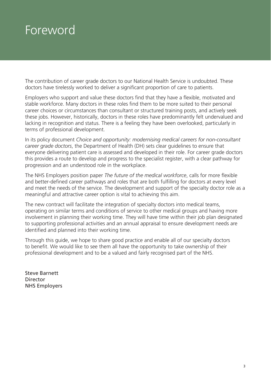## Foreword

The contribution of career grade doctors to our National Health Service is undoubted. These doctors have tirelessly worked to deliver a significant proportion of care to patients.

Employers who support and value these doctors find that they have a flexible, motivated and stable workforce. Many doctors in these roles find them to be more suited to their personal career choices or circumstances than consultant or structured training posts, and actively seek these jobs. However, historically, doctors in these roles have predominantly felt undervalued and lacking in recognition and status. There is a feeling they have been overlooked, particularly in terms of professional development.

In its policy document *Choice and opportunity: modernising medical careers for non-consultant career grade doctors*, the Department of Health (DH) sets clear guidelines to ensure that everyone delivering patient care is assessed and developed in their role. For career grade doctors this provides a route to develop and progress to the specialist register, with a clear pathway for progression and an understood role in the workplace.

The NHS Employers position paper *The future of the medical workforce*, calls for more flexible and better-defined career pathways and roles that are both fulfilling for doctors at every level and meet the needs of the service. The development and support of the specialty doctor role as a meaningful and attractive career option is vital to achieving this aim.

The new contract will facilitate the integration of specialty doctors into medical teams, operating on similar terms and conditions of service to other medical groups and having more involvement in planning their working time. They will have time within their job plan designated to supporting professional activities and an annual appraisal to ensure development needs are identified and planned into their working time.

Through this guide, we hope to share good practice and enable all of our specialty doctors to benefit. We would like to see them all have the opportunity to take ownership of their professional development and to be a valued and fairly recognised part of the NHS.

Steve Barnett Director NHS Employers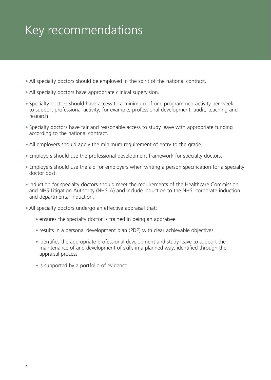# Key recommendations

- All specialty doctors should be employed in the spirit of the national contract.
- All specialty doctors have appropriate clinical supervision.
- Specialty doctors should have access to a minimum of one programmed activity per week to support professional activity, for example, professional development, audit, teaching and research.
- Specialty doctors have fair and reasonable access to study leave with appropriate funding according to the national contract.
- All employers should apply the minimum requirement of entry to the grade.
- Employers should use the professional development framework for specialty doctors.
- Employers should use the aid for employers when writing a person specification for a specialty doctor post.
- Induction for specialty doctors should meet the requirements of the Healthcare Commission and NHS Litigation Authority (NHSLA) and include induction to the NHS, corporate induction and departmental induction.
- All specialty doctors undergo an effective appraisal that:
	- ensures the specialty doctor is trained in being an appraisee
	- results in a personal development plan (PDP) with clear achievable objectives
	- identifies the appropriate professional development and study leave to support the maintenance of and development of skills in a planned way, identified through the appraisal process
	- is supported by a portfolio of evidence.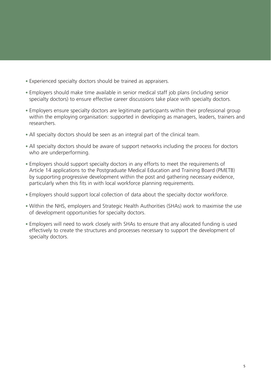- Experienced specialty doctors should be trained as appraisers.
- Employers should make time available in senior medical staff job plans (including senior specialty doctors) to ensure effective career discussions take place with specialty doctors.
- Employers ensure specialty doctors are legitimate participants within their professional group within the employing organisation: supported in developing as managers, leaders, trainers and researchers.
- All specialty doctors should be seen as an integral part of the clinical team.
- All specialty doctors should be aware of support networks including the process for doctors who are underperforming.
- Employers should support specialty doctors in any efforts to meet the requirements of Article 14 applications to the Postgraduate Medical Education and Training Board (PMETB) by supporting progressive development within the post and gathering necessary evidence, particularly when this fits in with local workforce planning requirements.
- Employers should support local collection of data about the specialty doctor workforce.
- Within the NHS, employers and Strategic Health Authorities (SHAs) work to maximise the use of development opportunities for specialty doctors.
- Employers will need to work closely with SHAs to ensure that any allocated funding is used effectively to create the structures and processes necessary to support the development of specialty doctors.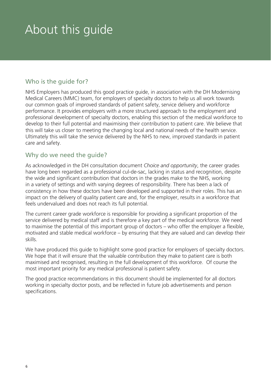# About this guide

## Who is the guide for?

NHS Employers has produced this good practice guide, in association with the DH Modernising Medical Careers (MMC) team, for employers of specialty doctors to help us all work towards our common goals of improved standards of patient safety, service delivery and workforce performance. It provides employers with a more structured approach to the employment and professional development of specialty doctors, enabling this section of the medical workforce to develop to their full potential and maximising their contribution to patient care. We believe that this will take us closer to meeting the changing local and national needs of the health service. Ultimately this will take the service delivered by the NHS to new, improved standards in patient care and safety.

### Why do we need the guide?

As acknowledged in the DH consultation document *Choice and opportunity*, the career grades have long been regarded as a professional cul-de-sac, lacking in status and recognition, despite the wide and significant contribution that doctors in the grades make to the NHS, working in a variety of settings and with varying degrees of responsibility. There has been a lack of consistency in how these doctors have been developed and supported in their roles. This has an impact on the delivery of quality patient care and, for the employer, results in a workforce that feels undervalued and does not reach its full potential.

The current career grade workforce is responsible for providing a significant proportion of the service delivered by medical staff and is therefore a key part of the medical workforce. We need to maximise the potential of this important group of doctors – who offer the employer a flexible, motivated and stable medical workforce – by ensuring that they are valued and can develop their skills.

We have produced this guide to highlight some good practice for employers of specialty doctors. We hope that it will ensure that the valuable contribution they make to patient care is both maximised and recognised, resulting in the full development of this workforce. Of course the most important priority for any medical professional is patient safety.

The good practice recommendations in this document should be implemented for all doctors working in specialty doctor posts, and be reflected in future job advertisements and person specifications.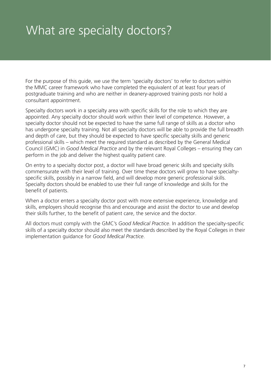# What are specialty doctors?

For the purpose of this guide, we use the term 'specialty doctors' to refer to doctors within the MMC career framework who have completed the equivalent of at least four years of postgraduate training and who are neither in deanery-approved training posts nor hold a consultant appointment.

Specialty doctors work in a specialty area with specific skills for the role to which they are appointed. Any specialty doctor should work within their level of competence. However, a specialty doctor should not be expected to have the same full range of skills as a doctor who has undergone specialty training. Not all specialty doctors will be able to provide the full breadth and depth of care, but they should be expected to have specific specialty skills and generic professional skills – which meet the required standard as described by the General Medical Council (GMC) in *Good Medical Practice* and by the relevant Royal Colleges – ensuring they can perform in the job and deliver the highest quality patient care.

On entry to a specialty doctor post, a doctor will have broad generic skills and specialty skills commensurate with their level of training. Over time these doctors will grow to have specialtyspecific skills, possibly in a narrow field, and will develop more generic professional skills. Specialty doctors should be enabled to use their full range of knowledge and skills for the benefit of patients.

When a doctor enters a specialty doctor post with more extensive experience, knowledge and skills, employers should recognise this and encourage and assist the doctor to use and develop their skills further, to the benefit of patient care, the service and the doctor.

All doctors must comply with the GMC's *Good Medical Practice*. In addition the specialty-specific skills of a specialty doctor should also meet the standards described by the Royal Colleges in their implementation guidance for *Good Medical Practice*.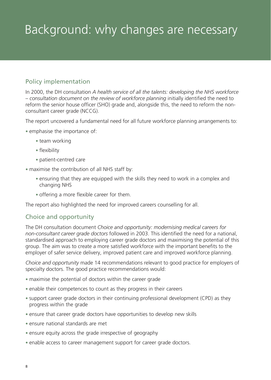# Background: why changes are necessary

## Policy implementation

In 2000, the DH consultation *A health service of all the talents: developing the NHS workforce – consultation document on the review of workforce planning* initially identified the need to reform the senior house officer (SHO) grade and, alongside this, the need to reform the nonconsultant career grade (NCCG).

The report uncovered a fundamental need for all future workforce planning arrangements to:

- emphasise the importance of:
	- team working
	- flexibility
	- patient-centred care
- maximise the contribution of all NHS staff by:
	- ensuring that they are equipped with the skills they need to work in a complex and changing NHS
	- offering a more flexible career for them.

The report also highlighted the need for improved careers counselling for all.

#### Choice and opportunity

The DH consultation document *Choice and opportunity: modernising medical careers for non-consultant career grade doctors* followed in 2003. This identified the need for a national, standardised approach to employing career grade doctors and maximising the potential of this group. The aim was to create a more satisfied workforce with the important benefits to the employer of safer service delivery, improved patient care and improved workforce planning.

*Choice and opportunity* made 14 recommendations relevant to good practice for employers of specialty doctors. The good practice recommendations would:

- maximise the potential of doctors within the career grade
- enable their competences to count as they progress in their careers
- support career grade doctors in their continuing professional development (CPD) as they progress within the grade
- ensure that career grade doctors have opportunities to develop new skills
- ensure national standards are met
- ensure equity across the grade irrespective of geography
- enable access to career management support for career grade doctors.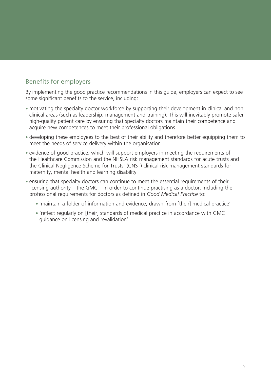## Benefits for employers

By implementing the good practice recommendations in this guide, employers can expect to see some significant benefits to the service, including:

- motivating the specialty doctor workforce by supporting their development in clinical and non clinical areas (such as leadership, management and training). This will inevitably promote safer high-quality patient care by ensuring that specialty doctors maintain their competence and acquire new competences to meet their professional obligations
- developing these employees to the best of their ability and therefore better equipping them to meet the needs of service delivery within the organisation
- evidence of good practice, which will support employers in meeting the requirements of the Healthcare Commission and the NHSLA risk management standards for acute trusts and the Clinical Negligence Scheme for Trusts' (CNST) clinical risk management standards for maternity, mental health and learning disability
- ensuring that specialty doctors can continue to meet the essential requirements of their licensing authority *–* the GMC *–* in order to continue practising as a doctor, including the professional requirements for doctors as defined in *Good Medical Practice* to:
	- 'maintain a folder of information and evidence, drawn from [their] medical practice'
	- 'reflect regularly on [their] standards of medical practice in accordance with GMC guidance on licensing and revalidation'.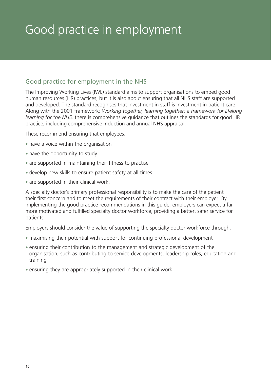# Good practice in employment

## Good practice for employment in the NHS

The Improving Working Lives (IWL) standard aims to support organisations to embed good human resources (HR) practices, but it is also about ensuring that all NHS staff are supported and developed. The standard recognises that investment in staff is investment in patient care. Along with the 2001 framework: *Working together, learning together: a framework for lifelong learning for the NHS,* there is comprehensive guidance that outlines the standards for good HR practice, including comprehensive induction and annual NHS appraisal.

These recommend ensuring that employees:

- have a voice within the organisation
- have the opportunity to study
- are supported in maintaining their fitness to practise
- develop new skills to ensure patient safety at all times
- are supported in their clinical work.

A specialty doctor's primary professional responsibility is to make the care of the patient their first concern and to meet the requirements of their contract with their employer. By implementing the good practice recommendations in this guide, employers can expect a far more motivated and fulfilled specialty doctor workforce, providing a better, safer service for patients.

Employers should consider the value of supporting the specialty doctor workforce through:

- maximising their potential with support for continuing professional development
- ensuring their contribution to the management and strategic development of the organisation, such as contributing to service developments, leadership roles, education and training
- ensuring they are appropriately supported in their clinical work.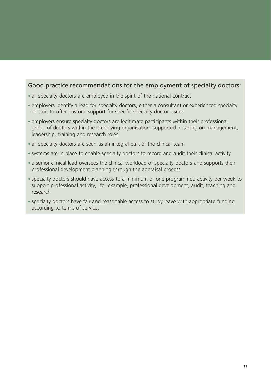### Good practice recommendations for the employment of specialty doctors:

- all specialty doctors are employed in the spirit of the national contract
- employers identify a lead for specialty doctors, either a consultant or experienced specialty doctor, to offer pastoral support for specific specialty doctor issues
- employers ensure specialty doctors are legitimate participants within their professional group of doctors within the employing organisation: supported in taking on management, leadership, training and research roles
- all specialty doctors are seen as an integral part of the clinical team
- systems are in place to enable specialty doctors to record and audit their clinical activity
- a senior clinical lead oversees the clinical workload of specialty doctors and supports their professional development planning through the appraisal process
- specialty doctors should have access to a minimum of one programmed activity per week to support professional activity, for example, professional development, audit, teaching and research
- specialty doctors have fair and reasonable access to study leave with appropriate funding according to terms of service.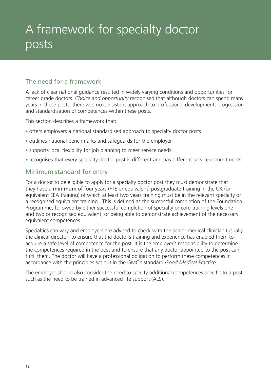# A framework for specialty doctor posts

## The need for a framework

A lack of clear national guidance resulted in widely varying conditions and opportunities for career grade doctors. *Choice and opportunity* recognised that although doctors can spend many years in these posts, there was no consistent approach to professional development, progression and standardisation of competences within these posts.

This section describes a framework that:

- offers employers a national standardised approach to specialty doctor posts
- outlines national benchmarks and safeguards for the employer
- supports local flexibility for job planning to meet service needs
- recognises that every specialty doctor post is different and has different service commitments.

### Minimum standard for entry

For a doctor to be eligible to apply for a specialty doctor post they must demonstrate that they have a minimum of four years (FTE or equivalent) postgraduate training in the UK (or equivalent EEA training) of which at least two years training must be in the relevant specialty or a recognised equivalent training. This is defined as the successful completion of the Foundation Programme, followed by either successful completion of specialty or core training levels one and two or recognised equivalent, or being able to demonstrate achievement of the necessary equivalent competences.

Specialties can vary and employers are advised to check with the senior medical clinician (usually the clinical director) to ensure that the doctor's training and experience has enabled them to acquire a safe level of competence for the post. It is the employer's responsibility to determine the competences required in the post and to ensure that any doctor appointed to the post can fulfil them. The doctor will have a professional obligation to perform these competences in accordance with the principles set out in the GMC's standard *Good Medical Practice*.

The employer should also consider the need to specify additional competences specific to a post such as the need to be trained in advanced life support (ALS).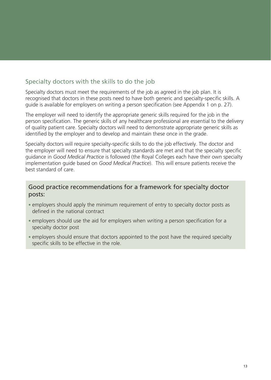## Specialty doctors with the skills to do the job

Specialty doctors must meet the requirements of the job as agreed in the job plan. It is recognised that doctors in these posts need to have both generic and specialty-specific skills. A guide is available for employers on writing a person specification (see Appendix 1 on p. 27).

The employer will need to identify the appropriate generic skills required for the job in the person specification. The generic skills of any healthcare professional are essential to the delivery of quality patient care. Specialty doctors will need to demonstrate appropriate generic skills as identified by the employer and to develop and maintain these once in the grade.

Specialty doctors will require specialty-specific skills to do the job effectively. The doctor and the employer will need to ensure that specialty standards are met and that the specialty specific guidance in *Good Medical Practice* is followed (the Royal Colleges each have their own specialty implementation guide based on *Good Medical Practice*). This will ensure patients receive the best standard of care.

### Good practice recommendations for a framework for specialty doctor posts:

- employers should apply the minimum requirement of entry to specialty doctor posts as defined in the national contract
- employers should use the aid for employers when writing a person specification for a specialty doctor post
- employers should ensure that doctors appointed to the post have the required specialty specific skills to be effective in the role.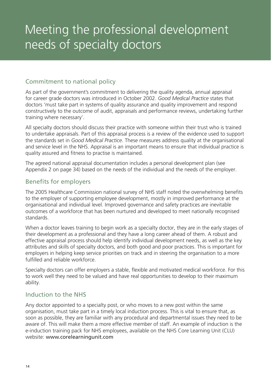### Commitment to national policy

As part of the government's commitment to delivering the quality agenda, annual appraisal for career grade doctors was introduced in October 2002. *Good Medical Practice* states that doctors 'must take part in systems of quality assurance and quality improvement and respond constructively to the outcome of audit, appraisals and performance reviews, undertaking further training where necessary'.

All specialty doctors should discuss their practice with someone within their trust who is trained to undertake appraisals. Part of this appraisal process is a review of the evidence used to support the standards set in *Good Medical Practice*. These measures address quality at the organisational and service level in the NHS. Appraisal is an important means to ensure that individual practice is quality assured and fitness to practise is maintained.

The agreed national appraisal documentation includes a personal development plan (see Appendix 2 on page 34) based on the needs of the individual and the needs of the employer.

### Benefits for employers

The 2005 Healthcare Commission national survey of NHS staff noted the overwhelming benefits to the employer of supporting employee development, mostly in improved performance at the organisational and individual level. Improved governance and safety practices are inevitable outcomes of a workforce that has been nurtured and developed to meet nationally recognised standards.

When a doctor leaves training to begin work as a specialty doctor, they are in the early stages of their development as a professional and they have a long career ahead of them. A robust and effective appraisal process should help identify individual development needs, as well as the key attributes and skills of specialty doctors, and both good and poor practices. This is important for employers in helping keep service priorities on track and in steering the organisation to a more fulfilled and reliable workforce.

Specialty doctors can offer employers a stable, flexible and motivated medical workforce. For this to work well they need to be valued and have real opportunities to develop to their maximum ability.

### Induction to the NHS

Any doctor appointed to a specialty post, or who moves to a new post within the same organisation, must take part in a timely local induction process. This is vital to ensure that, as soon as possible, they are familiar with any procedural and departmental issues they need to be aware of. This will make them a more effective member of staff. An example of induction is the e-induction training pack for NHS employees, available on the NHS Core Learning Unit (CLU) website: www.corelearningunit.com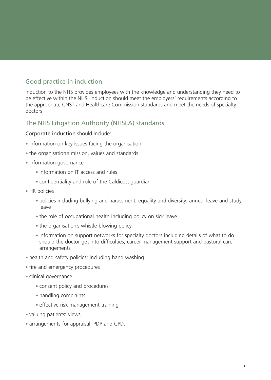## Good practice in induction

Induction to the NHS provides employees with the knowledge and understanding they need to be effective within the NHS. Induction should meet the employers' requirements according to the appropriate CNST and Healthcare Commission standards and meet the needs of specialty doctors.

### The NHS Litigation Authority (NHSLA) standards

#### Corporate induction should include:

- information on key issues facing the organisation
- the organisation's mission, values and standards
- information governance
	- information on IT access and rules
	- confidentiality and role of the Caldicott quardian
- HR policies
	- policies including bullying and harassment, equality and diversity, annual leave and study leave
	- the role of occupational health including policy on sick leave
	- the organisation's whistle-blowing policy
	- information on support networks for specialty doctors including details of what to do should the doctor get into difficulties, career management support and pastoral care arrangements
- health and safety policies: including hand washing
- fire and emergency procedures
- clinical governance
	- consent policy and procedures
	- handling complaints
	- effective risk management training
- valuing patients' views
- arrangements for appraisal, PDP and CPD.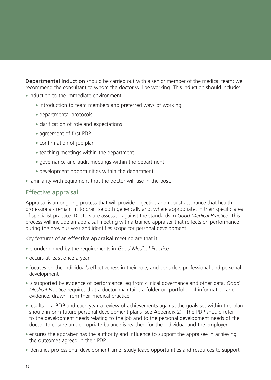Departmental induction should be carried out with a senior member of the medical team; we recommend the consultant to whom the doctor will be working. This induction should include:

• induction to the immediate environment

- introduction to team members and preferred ways of working
- • departmental protocols
- clarification of role and expectations
- agreement of first PDP
- confirmation of job plan
- teaching meetings within the department
- governance and audit meetings within the department
- development opportunities within the department
- familiarity with equipment that the doctor will use in the post.

#### Effective appraisal

Appraisal is an ongoing process that will provide objective and robust assurance that health professionals remain fit to practise both generically and, where appropriate, in their specific area of specialist practice. Doctors are assessed against the standards in *Good Medical Practice*. This process will include an appraisal meeting with a trained appraiser that reflects on performance during the previous year and identifies scope for personal development.

Key features of an effective appraisal meeting are that it:

- • is underpinned by the requirements in *Good Medical Practice*
- occurs at least once a year
- focuses on the individual's effectiveness in their role, and considers professional and personal development
- is supported by evidence of performance, eg from clinical governance and other data. *Good Medical Practice* requires that a doctor maintains a folder or 'portfolio' of information and evidence, drawn from their medical practice
- results in a PDP and each year a review of achievements against the goals set within this plan should inform future personal development plans (see Appendix 2). The PDP should refer to the development needs relating to the job and to the personal development needs of the doctor to ensure an appropriate balance is reached for the individual and the employer
- ensures the appraiser has the authority and influence to support the appraisee in achieving the outcomes agreed in their PDP
- identifies professional development time, study leave opportunities and resources to support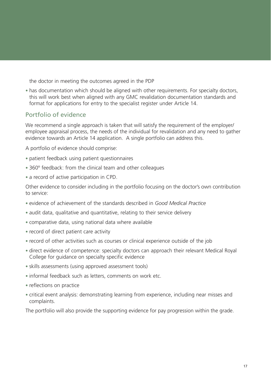the doctor in meeting the outcomes agreed in the PDP

• has documentation which should be aligned with other requirements. For specialty doctors, this will work best when aligned with any GMC revalidation documentation standards and format for applications for entry to the specialist register under Article 14.

### Portfolio of evidence

We recommend a single approach is taken that will satisfy the requirement of the employer/ employee appraisal process, the needs of the individual for revalidation and any need to gather evidence towards an Article 14 application. A single portfolio can address this.

A portfolio of evidence should comprise:

- patient feedback using patient questionnaires
- 360° feedback: from the clinical team and other colleagues
- a record of active participation in CPD.

Other evidence to consider including in the portfolio focusing on the doctor's own contribution to service:

- • evidence of achievement of the standards described in *Good Medical Practice*
- audit data, qualitative and quantitative, relating to their service delivery
- comparative data, using national data where available
- record of direct patient care activity
- record of other activities such as courses or clinical experience outside of the job
- direct evidence of competence: specialty doctors can approach their relevant Medical Royal College for guidance on specialty specific evidence
- skills assessments (using approved assessment tools)
- informal feedback such as letters, comments on work etc.
- reflections on practice
- critical event analysis: demonstrating learning from experience, including near misses and complaints.

The portfolio will also provide the supporting evidence for pay progression within the grade.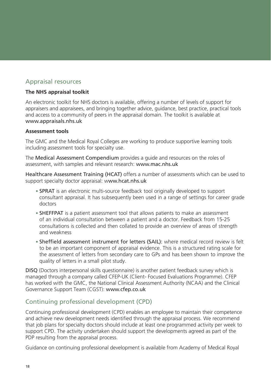### Appraisal resources

#### **The NHS appraisal toolkit**

An electronic toolkit for NHS doctors is available, offering a number of levels of support for appraisers and appraisees, and bringing together advice, guidance, best practice, practical tools and access to a community of peers in the appraisal domain. The toolkit is available at www.appraisals.nhs.uk

#### **Assessment tools**

The GMC and the Medical Royal Colleges are working to produce supportive learning tools including assessment tools for specialty use.

The Medical Assessment Compendium provides a guide and resources on the roles of assessment, with samples and relevant research: www.mac.nhs.uk

Healthcare Assessment Training (HCAT) offers a number of assessments which can be used to support specialty doctor appraisal: www.hcat.nhs.uk

- **SPRAT** is an electronic multi-source feedback tool originally developed to support consultant appraisal. It has subsequently been used in a range of settings for career grade doctors
- **SHEFFPAT** is a patient assessment tool that allows patients to make an assessment of an individual consultation between a patient and a doctor. Feedback from 15-25 consultations is collected and then collated to provide an overview of areas of strength and weakness
- Sheffield assessment instrument for letters (SAIL): where medical record review is felt to be an important component of appraisal evidence. This is a structured rating scale for the assessment of letters from secondary care to GPs and has been shown to improve the quality of letters in a small pilot study.

DISQ (Doctors interpersonal skills questionnaire) is another patient feedback survey which is managed through a company called CFEP-UK (Client- Focused Evaluations Programme). CFEP has worked with the GMC, the National Clinical Assessment Authority (NCAA) and the Clinical Governance Support Team (CGST): www.cfep.co.uk

### Continuing professional development (CPD)

Continuing professional development (CPD) enables an employee to maintain their competence and achieve new development needs identified through the appraisal process. We recommend that job plans for specialty doctors should include at least one programmed activity per week to support CPD. The activity undertaken should support the developments agreed as part of the PDP resulting from the appraisal process.

Guidance on continuing professional development is available from Academy of Medical Royal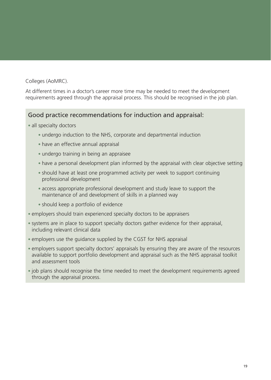#### Colleges (AoMRC).

At different times in a doctor's career more time may be needed to meet the development requirements agreed through the appraisal process. This should be recognised in the job plan.

### Good practice recommendations for induction and appraisal:

• all specialty doctors

- undergo induction to the NHS, corporate and departmental induction
- have an effective annual appraisal
- undergo training in being an appraisee
- have a personal development plan informed by the appraisal with clear objective setting
- should have at least one programmed activity per week to support continuing professional development
- access appropriate professional development and study leave to support the maintenance of and development of skills in a planned way
- should keep a portfolio of evidence
- employers should train experienced specialty doctors to be appraisers
- systems are in place to support specialty doctors gather evidence for their appraisal, including relevant clinical data
- employers use the guidance supplied by the CGST for NHS appraisal
- employers support specialty doctors' appraisals by ensuring they are aware of the resources available to support portfolio development and appraisal such as the NHS appraisal toolkit and assessment tools
- job plans should recognise the time needed to meet the development requirements agreed through the appraisal process.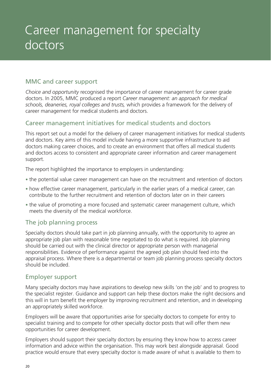# Career management for specialty doctors

### MMC and career support

*Choice and opportunity* recognised the importance of career management for career grade doctors. In 2005, MMC produced a report *Career management: an approach for medical schools, deaneries, royal colleges and trusts,* which provides a framework for the delivery of career management for medical students and doctors.

### Career management initiatives for medical students and doctors

This report set out a model for the delivery of career management initiatives for medical students and doctors. Key aims of this model include having a more supportive infrastructure to aid doctors making career choices, and to create an environment that offers all medical students and doctors access to consistent and appropriate career information and career management support.

The report highlighted the importance to employers in understanding:

- the potential value career management can have on the recruitment and retention of doctors
- how effective career management, particularly in the earlier years of a medical career, can contribute to the further recruitment and retention of doctors later on in their careers
- the value of promoting a more focused and systematic career management culture, which meets the diversity of the medical workforce.

### The job planning process

Specialty doctors should take part in job planning annually, with the opportunity to agree an appropriate job plan with reasonable time negotiated to do what is required. Job planning should be carried out with the clinical director or appropriate person with managerial responsibilities. Evidence of performance against the agreed job plan should feed into the appraisal process. Where there is a departmental or team job planning process specialty doctors should be included.

#### Employer support

Many specialty doctors may have aspirations to develop new skills 'on the job' and to progress to the specialist register. Guidance and support can help these doctors make the right decisions and this will in turn benefit the employer by improving recruitment and retention, and in developing an appropriately skilled workforce.

Employers will be aware that opportunities arise for specialty doctors to compete for entry to specialist training and to compete for other specialty doctor posts that will offer them new opportunities for career development.

Employers should support their specialty doctors by ensuring they know how to access career information and advice within the organisation. This may work best alongside appraisal. Good practice would ensure that every specialty doctor is made aware of what is available to them to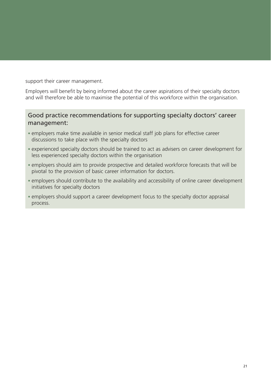support their career management.

Employers will benefit by being informed about the career aspirations of their specialty doctors and will therefore be able to maximise the potential of this workforce within the organisation.

### Good practice recommendations for supporting specialty doctors' career management:

- employers make time available in senior medical staff job plans for effective career discussions to take place with the specialty doctors
- experienced specialty doctors should be trained to act as advisers on career development for less experienced specialty doctors within the organisation
- employers should aim to provide prospective and detailed workforce forecasts that will be pivotal to the provision of basic career information for doctors.
- employers should contribute to the availability and accessibility of online career development initiatives for specialty doctors
- employers should support a career development focus to the specialty doctor appraisal process.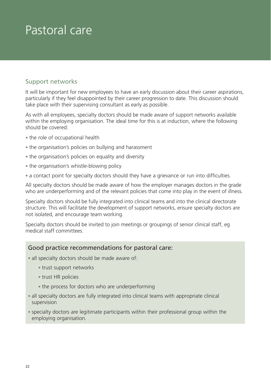# Pastoral care

### Support networks

It will be important for new employees to have an early discussion about their career aspirations, particularly if they feel disappointed by their career progression to date. This discussion should take place with their supervising consultant as early as possible.

As with all employees, specialty doctors should be made aware of support networks available within the employing organisation. The ideal time for this is at induction, where the following should be covered:

- the role of occupational health
- the organisation's policies on bullying and harassment
- the organisation's policies on equality and diversity
- the organisation's whistle-blowing policy
- a contact point for specialty doctors should they have a grievance or run into difficulties.

All specialty doctors should be made aware of how the employer manages doctors in the grade who are underperforming and of the relevant policies that come into play in the event of illness.

Specialty doctors should be fully integrated into clinical teams and into the clinical directorate structure. This will facilitate the development of support networks, ensure specialty doctors are not isolated, and encourage team working.

Specialty doctors should be invited to join meetings or groupings of senior clinical staff, eg medical staff committees.

### Good practice recommendations for pastoral care:

• all specialty doctors should be made aware of:

- trust support networks
- trust HR policies
- the process for doctors who are underperforming
- all specialty doctors are fully integrated into clinical teams with appropriate clinical supervision
- specialty doctors are legitimate participants within their professional group within the employing organisation.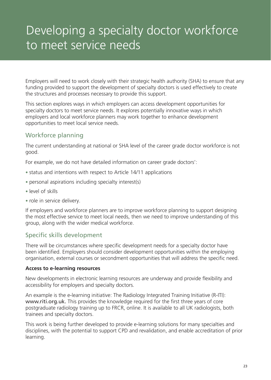# Developing a specialty doctor workforce to meet service needs

Employers will need to work closely with their strategic health authority (SHA) to ensure that any funding provided to support the development of specialty doctors is used effectively to create the structures and processes necessary to provide this support.

This section explores ways in which employers can access development opportunities for specialty doctors to meet service needs. It explores potentially innovative ways in which employers and local workforce planners may work together to enhance development opportunities to meet local service needs.

## Workforce planning

The current understanding at national or SHA level of the career grade doctor workforce is not good.

For example, we do not have detailed information on career grade doctors':

- status and intentions with respect to Article 14/11 applications
- personal aspirations including specialty interest(s)
- • level of skills
- role in service delivery.

If employers and workforce planners are to improve workforce planning to support designing the most effective service to meet local needs, then we need to improve understanding of this group, along with the wider medical workforce.

## Specific skills development

There will be circumstances where specific development needs for a specialty doctor have been identified. Employers should consider development opportunities within the employing organisation, external courses or secondment opportunities that will address the specific need.

#### **Access to e-learning resources**

New developments in electronic learning resources are underway and provide flexibility and accessibility for employers and specialty doctors.

An example is the e-learning initiative: The Radiology Integrated Training Initiative (R-ITI): www.riti.org.uk. This provides the knowledge required for the first three years of core postgraduate radiology training up to FRCR, online. It is available to all UK radiologists, both trainees and specialty doctors.

This work is being further developed to provide e-learning solutions for many specialties and disciplines, with the potential to support CPD and revalidation, and enable accreditation of prior learning.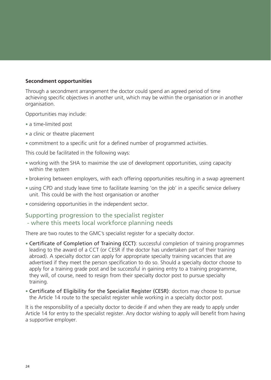#### **Secondment opportunities**

Through a secondment arrangement the doctor could spend an agreed period of time achieving specific objectives in another unit, which may be within the organisation or in another organisation.

Opportunities may include:

- a time-limited post
- a clinic or theatre placement
- commitment to a specific unit for a defined number of programmed activities.

This could be facilitated in the following ways:

- working with the SHA to maximise the use of development opportunities, using capacity within the system
- brokering between employers, with each offering opportunities resulting in a swap agreement
- using CPD and study leave time to facilitate learning 'on the job' in a specific service delivery unit. This could be with the host organisation or another
- considering opportunities in the independent sector.

### Supporting progression to the specialist register

#### - where this meets local workforce planning needs

There are two routes to the GMC's specialist register for a specialty doctor.

- Certificate of Completion of Training (CCT): successful completion of training programmes leading to the award of a CCT (or CESR if the doctor has undertaken part of their training abroad). A specialty doctor can apply for appropriate specialty training vacancies that are advertised if they meet the person specification to do so. Should a specialty doctor choose to apply for a training grade post and be successful in gaining entry to a training programme, they will, of course, need to resign from their specialty doctor post to pursue specialty training.
- Certificate of Eligibility for the Specialist Register (CESR): doctors may choose to pursue the Article 14 route to the specialist register while working in a specialty doctor post.

It is the responsibility of a specialty doctor to decide if and when they are ready to apply under Article 14 for entry to the specialist register. Any doctor wishing to apply will benefit from having a supportive employer.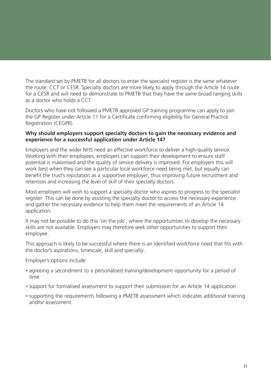The standard set by PMETB for all doctors to enter the specialist register is the same whatever the route: CCT or CESR. Specialty doctors are more likely to apply through the Article 14 route for a CESR and will need to demonstrate to PMETB that they have the same broad ranging skills as a doctor who holds a CCT.

Doctors who have not followed a PMETB approved GP training programme can apply to join the GP Register under Article 11 for a Certificate confirming eligibility for General Practice Registration (CEGPR).

#### **Why should employers support specialty doctors to gain the necessary evidence and experience for a successful application under Article 14?**

Employers and the wider NHS need an effective workforce to deliver a high-quality service. Working with their employees, employers can support their development to ensure staff potential is maximised and the quality of service delivery is improved. For employers this will work best when they can see a particular local workforce need being met, but equally can benefit the trust's reputation as a supportive employer, thus improving future recruitment and retention and increasing the level of skill of their specialty doctors.

Most employers will wish to support a specialty doctor who aspires to progress to the specialist register. This can be done by assisting the specialty doctor to access the necessary experience and gather the necessary evidence to help them meet the requirements of an Article 14 application.

It may not be possible to do this 'on the job', where the opportunities to develop the necessary skills are not available. Employers may therefore seek other opportunities to support their employee.

This approach is likely to be successful where there is an identified workforce need that fits with the doctor's aspirations, timescale, skill and specialty.

Employer's options include:

- agreeing a secondment to a personalised training/development opportunity for a period of time
- support for formalised assessment to support their submission for an Article 14 application
- supporting the requirements following a PMETB assessment which indicates additional training and/or assessment.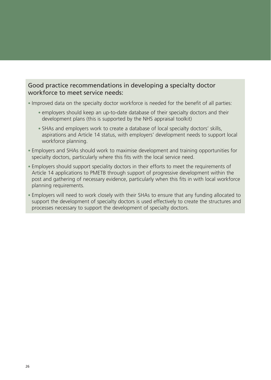### Good practice recommendations in developing a specialty doctor workforce to meet service needs:

- Improved data on the specialty doctor workforce is needed for the benefit of all parties:
	- employers should keep an up-to-date database of their specialty doctors and their development plans (this is supported by the NHS appraisal toolkit)
	- SHAs and employers work to create a database of local specialty doctors' skills, aspirations and Article 14 status, with employers' development needs to support local workforce planning.
- Employers and SHAs should work to maximise development and training opportunities for specialty doctors, particularly where this fits with the local service need.
- Employers should support speciality doctors in their efforts to meet the requirements of Article 14 applications to PMETB through support of progressive development within the post and gathering of necessary evidence, particularly when this fits in with local workforce planning requirements.
- Employers will need to work closely with their SHAs to ensure that any funding allocated to support the development of specialty doctors is used effectively to create the structures and processes necessary to support the development of specialty doctors.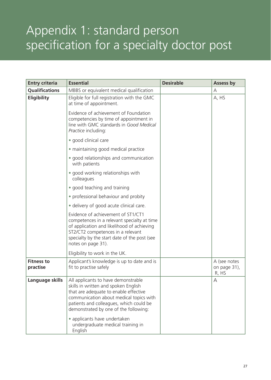# Appendix 1: standard person specification for a specialty doctor post

| <b>Entry criteria</b>         | <b>Essential</b>                                                                                                                                                                                                                                                                                                                    | <b>Desirable</b> | Assess by                             |
|-------------------------------|-------------------------------------------------------------------------------------------------------------------------------------------------------------------------------------------------------------------------------------------------------------------------------------------------------------------------------------|------------------|---------------------------------------|
| <b>Qualifications</b>         | MBBS or equivalent medical qualification                                                                                                                                                                                                                                                                                            |                  | А                                     |
| <b>Eligibility</b>            | Eligible for full registration with the GMC<br>at time of appointment.                                                                                                                                                                                                                                                              |                  | A, HS                                 |
|                               | Evidence of achievement of Foundation<br>competencies by time of appointment in<br>line with GMC standards in Good Medical<br>Practice including:                                                                                                                                                                                   |                  |                                       |
|                               | · good clinical care                                                                                                                                                                                                                                                                                                                |                  |                                       |
|                               | • maintaining good medical practice                                                                                                                                                                                                                                                                                                 |                  |                                       |
|                               | • good relationships and communication<br>with patients                                                                                                                                                                                                                                                                             |                  |                                       |
|                               | • good working relationships with<br>colleagues                                                                                                                                                                                                                                                                                     |                  |                                       |
|                               | • good teaching and training                                                                                                                                                                                                                                                                                                        |                  |                                       |
|                               | • professional behaviour and probity                                                                                                                                                                                                                                                                                                |                  |                                       |
|                               | • delivery of good acute clinical care.                                                                                                                                                                                                                                                                                             |                  |                                       |
|                               | Evidence of achievement of ST1/CT1<br>competences in a relevant specialty at time<br>of application and likelihood of achieving<br>ST2/CT2 competences in a relevant<br>specialty by the start date of the post (see<br>notes on page 31).                                                                                          |                  |                                       |
|                               | Eligibility to work in the UK.                                                                                                                                                                                                                                                                                                      |                  |                                       |
| <b>Fitness to</b><br>practise | Applicant's knowledge is up to date and is<br>fit to practise safely                                                                                                                                                                                                                                                                |                  | A (see notes<br>on page 31),<br>R, HS |
| Language skills               | All applicants to have demonstrable<br>skills in written and spoken English<br>that are adequate to enable effective<br>communication about medical topics with<br>patients and colleagues, which could be<br>demonstrated by one of the following:<br>• applicants have undertaken<br>undergraduate medical training in<br>English |                  | А                                     |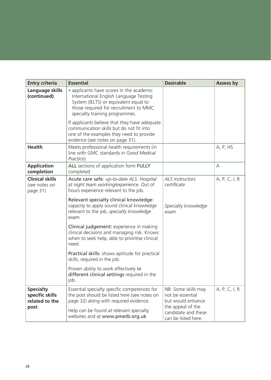| <b>Entry criteria</b>                                 | <b>Essential</b>                                                                                                                                                                                       | <b>Desirable</b>                                                | Assess by     |  |
|-------------------------------------------------------|--------------------------------------------------------------------------------------------------------------------------------------------------------------------------------------------------------|-----------------------------------------------------------------|---------------|--|
| Language skills<br>(continued)                        | • applicants have scores in the academic<br>International English Language Testing<br>System (IELTS) or equivalent equal to<br>those required for recruitment to MMC<br>specialty training programmes. |                                                                 |               |  |
|                                                       | If applicants believe that they have adequate<br>communication skills but do not fit into<br>one of the examples they need to provide<br>evidence (see notes on page 31).                              |                                                                 |               |  |
| <b>Health</b>                                         | Meets professional health requirements (in<br>line with GMC standards in Good Medical<br>Practice).                                                                                                    |                                                                 | A, P, HS      |  |
| <b>Application</b><br>completion                      | ALL sections of application form FULLY<br>completed                                                                                                                                                    |                                                                 | A             |  |
| <b>Clinical skills</b><br>(see notes on<br>page 31)   | Acute care safe: up-to-date ALS. Hospital<br>at night team working/experience. Out of<br>hours experience relevant to the job.                                                                         | ALS instructors<br>certificate                                  | A, P, C, I, R |  |
|                                                       | Relevant specialty clinical knowledge:<br>capacity to apply sound clinical knowledge<br>relevant to the job, specialty knowledge<br>exam.                                                              | Specialty knowledge<br>exam                                     |               |  |
|                                                       | Clinical judgement: experience in making<br>clinical decisions and managing risk. Knows<br>when to seek help, able to prioritise clinical<br>need.                                                     |                                                                 |               |  |
|                                                       | Practical skills: shows aptitude for practical<br>skills, required in the job.                                                                                                                         |                                                                 |               |  |
|                                                       | Proven ability to work effectively in<br>different clinical settings required in the<br>job.                                                                                                           |                                                                 |               |  |
| <b>Specialty</b><br>specific skills<br>related to the | Essential specialty specific competences for<br>the post should be listed here (see notes on<br>page 32) along with required evidence.                                                                 | NB: Some skills may<br>not be essential<br>but would enhance    | A, P, C, I, R |  |
| post                                                  | Help can be found at relevant specialty<br>websites and at www.pmetb.org.uk                                                                                                                            | the appeal of the<br>candidate and these<br>can be listed here. |               |  |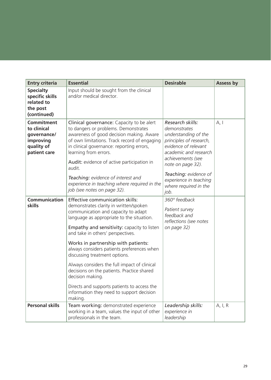| <b>Entry criteria</b>                                                                      | <b>Essential</b>                                                                                                                                                                                                                                                                                            | <b>Desirable</b>                                                                                                                                                               | <b>Assess by</b> |
|--------------------------------------------------------------------------------------------|-------------------------------------------------------------------------------------------------------------------------------------------------------------------------------------------------------------------------------------------------------------------------------------------------------------|--------------------------------------------------------------------------------------------------------------------------------------------------------------------------------|------------------|
| <b>Specialty</b><br>specific skills<br>related to<br>the post<br>(continued)               | Input should be sought from the clinical<br>and/or medical director.                                                                                                                                                                                                                                        |                                                                                                                                                                                |                  |
| <b>Commitment</b><br>to clinical<br>governance/<br>improving<br>quality of<br>patient care | Clinical governance: Capacity to be alert<br>to dangers or problems. Demonstrates<br>awareness of good decision making. Aware<br>of own limitations. Track record of engaging<br>in clinical governance: reporting errors,<br>learning from errors.<br>Audit: evidence of active participation in<br>audit. | Research skills:<br>demonstrates<br>understanding of the<br>principles of research,<br>evidence of relevant<br>academic and research<br>achievements (see<br>note on page 32). | A, I             |
|                                                                                            | Teaching: evidence of interest and<br>experience in teaching where required in the<br>job (see notes on page 32).                                                                                                                                                                                           | Teaching: evidence of<br>experience in teaching<br>where required in the<br>job.                                                                                               |                  |
| <b>Communication</b><br>skills                                                             | <b>Effective communication skills:</b><br>demonstrates clarity in written/spoken<br>communication and capacity to adapt<br>language as appropriate to the situation.<br>Empathy and sensitivity: capacity to listen<br>and take in others' perspectives.                                                    | 360° feedback<br>Patient survey<br>feedback and<br>reflections (see notes<br>on page 32)                                                                                       |                  |
|                                                                                            | Works in partnership with patients:<br>always considers patients preferences when<br>discussing treatment options.                                                                                                                                                                                          |                                                                                                                                                                                |                  |
|                                                                                            | Always considers the full impact of clinical<br>decisions on the patients. Practice shared<br>decision making.                                                                                                                                                                                              |                                                                                                                                                                                |                  |
|                                                                                            | Directs and supports patients to access the<br>information they need to support decision<br>making.                                                                                                                                                                                                         |                                                                                                                                                                                |                  |
| <b>Personal skills</b>                                                                     | Team working: demonstrated experience<br>working in a team, values the input of other<br>professionals in the team.                                                                                                                                                                                         | Leadership skills:<br>experience in<br>leadership                                                                                                                              | A, I, R          |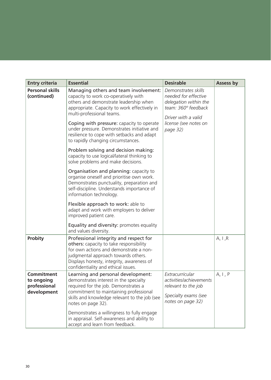| <b>Entry criteria</b>                                          | <b>Essential</b>                                                                                                                                                                                                                                                                                                                                                                                                                                                                                                                                                                                                                                                                                                                                                                                                                           | <b>Desirable</b>                                                                                                                                        | Assess by |  |
|----------------------------------------------------------------|--------------------------------------------------------------------------------------------------------------------------------------------------------------------------------------------------------------------------------------------------------------------------------------------------------------------------------------------------------------------------------------------------------------------------------------------------------------------------------------------------------------------------------------------------------------------------------------------------------------------------------------------------------------------------------------------------------------------------------------------------------------------------------------------------------------------------------------------|---------------------------------------------------------------------------------------------------------------------------------------------------------|-----------|--|
| <b>Personal skills</b><br>(continued)                          | Managing others and team involvement:<br>capacity to work co-operatively with<br>others and demonstrate leadership when<br>appropriate. Capacity to work effectively in<br>multi-professional teams.<br>Coping with pressure: capacity to operate<br>under pressure. Demonstrates initiative and<br>resilience to cope with setbacks and adapt<br>to rapidly changing circumstances.<br>Problem solving and decision making:<br>capacity to use logical/lateral thinking to<br>solve problems and make decisions.<br>Organisation and planning: capacity to<br>organise oneself and prioritise own work.<br>Demonstrates punctuality, preparation and<br>self-discipline. Understands importance of<br>information technology.<br>Flexible approach to work: able to<br>adapt and work with employers to deliver<br>improved patient care. | Demonstrates skills<br>needed for effective<br>delegation within the<br>team: 360° feedback<br>Driver with a valid<br>license (see notes on<br>page 32) |           |  |
|                                                                | Equality and diversity: promotes equality<br>and values diversity.                                                                                                                                                                                                                                                                                                                                                                                                                                                                                                                                                                                                                                                                                                                                                                         |                                                                                                                                                         |           |  |
| <b>Probity</b>                                                 | Professional integrity and respect for<br>others: capacity to take responsibility<br>for own actions and demonstrate a non-<br>judgmental approach towards others.<br>Displays honesty, integrity, awareness of<br>confidentiality and ethical issues.                                                                                                                                                                                                                                                                                                                                                                                                                                                                                                                                                                                     |                                                                                                                                                         | A, I, R   |  |
| <b>Commitment</b><br>to ongoing<br>professional<br>development | Learning and personal development:<br>demonstrates interest in the specialty<br>required for the job. Demonstrates a<br>commitment to maintaining professional<br>skills and knowledge relevant to the job (see<br>notes on page 32).<br>Demonstrates a willingness to fully engage<br>in appraisal. Self-awareness and ability to<br>accept and learn from feedback.                                                                                                                                                                                                                                                                                                                                                                                                                                                                      | Extracurricular<br>activities/achievements<br>relevant to the job<br>Specialty exams (see<br>notes on page 32)                                          | A, I, P   |  |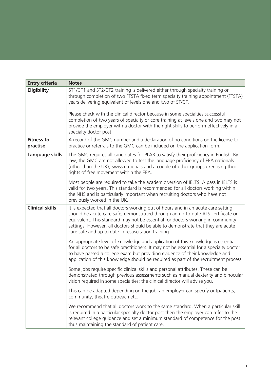| <b>Entry criteria</b>         | <b>Notes</b>                                                                                                                                                                                                                                                                                                                                                                                        |
|-------------------------------|-----------------------------------------------------------------------------------------------------------------------------------------------------------------------------------------------------------------------------------------------------------------------------------------------------------------------------------------------------------------------------------------------------|
| Eligibility                   | ST1/CT1 and ST2/CT2 training is delivered either through specialty training or<br>through completion of two FTSTA fixed term specialty training appointment (FTSTA)<br>years delivering equivalent of levels one and two of ST/CT.                                                                                                                                                                  |
|                               | Please check with the clinical director because in some specialties successful<br>completion of two years of specialty or core training at levels one and two may not<br>provide the employer with a doctor with the right skills to perform effectively in a<br>specialty doctor post.                                                                                                             |
| <b>Fitness to</b><br>practise | A record of the GMC number and a declaration of no conditions on the license to<br>practice or referrals to the GMC can be included on the application form.                                                                                                                                                                                                                                        |
| Language skills               | The GMC requires all candidates for PLAB to satisfy their proficiency in English. By<br>law, the GMC are not allowed to test the language proficiency of EEA nationals<br>(other than the UK), Swiss nationals and a couple of other groups exercising their<br>rights of free movement within the EEA.                                                                                             |
|                               | Most people are required to take the academic version of IELTS. A pass in IELTS is<br>valid for two years. This standard is recommended for all doctors working within<br>the NHS and is particularly important when recruiting doctors who have not<br>previously worked in the UK.                                                                                                                |
| <b>Clinical skills</b>        | It is expected that all doctors working out of hours and in an acute care setting<br>should be acute care safe; demonstrated through an up-to-date ALS certificate or<br>equivalent. This standard may not be essential for doctors working in community<br>settings. However, all doctors should be able to demonstrate that they are acute<br>care safe and up to date in resuscitation training. |
|                               | An appropriate level of knowledge and application of this knowledge is essential<br>for all doctors to be safe practitioners. It may not be essential for a specialty doctor<br>to have passed a college exam but providing evidence of their knowledge and<br>application of this knowledge should be required as part of the recruitment process                                                  |
|                               | Some jobs require specific clinical skills and personal attributes. These can be<br>demonstrated through previous assessments such as manual dexterity and binocular<br>vision required in some specialties: the clinical director will advise you.                                                                                                                                                 |
|                               | This can be adapted depending on the job: an employer can specify outpatients,<br>community, theatre outreach etc.                                                                                                                                                                                                                                                                                  |
|                               | We recommend that all doctors work to the same standard. When a particular skill<br>is required in a particular specialty doctor post then the employer can refer to the<br>relevant college guidance and set a minimum standard of competence for the post<br>thus maintaining the standard of patient care.                                                                                       |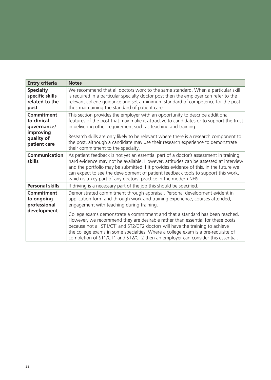| <b>Entry criteria</b>                                                                      | <b>Notes</b>                                                                                                                                                                                                                                                                                                                                                                                                                                                |
|--------------------------------------------------------------------------------------------|-------------------------------------------------------------------------------------------------------------------------------------------------------------------------------------------------------------------------------------------------------------------------------------------------------------------------------------------------------------------------------------------------------------------------------------------------------------|
| <b>Specialty</b><br>specific skills<br>related to the<br>post                              | We recommend that all doctors work to the same standard. When a particular skill<br>is required in a particular specialty doctor post then the employer can refer to the<br>relevant college guidance and set a minimum standard of competence for the post<br>thus maintaining the standard of patient care.                                                                                                                                               |
| <b>Commitment</b><br>to clinical<br>governance/<br>improving<br>quality of<br>patient care | This section provides the employer with an opportunity to describe additional<br>features of the post that may make it attractive to candidates or to support the trust<br>in delivering other requirement such as teaching and training.<br>Research skills are only likely to be relevant where there is a research component to<br>the post, although a candidate may use their research experience to demonstrate<br>their commitment to the specialty. |
| <b>Communication</b><br><b>skills</b>                                                      | As patient feedback is not yet an essential part of a doctor's assessment in training,<br>hard evidence may not be available. However, attitudes can be assessed at interview<br>and the portfolio may be submitted if it provides evidence of this. In the future we<br>can expect to see the development of patient feedback tools to support this work,<br>which is a key part of any doctors' practice in the modern NHS.                               |
| <b>Personal skills</b>                                                                     | If driving is a necessary part of the job this should be specified.                                                                                                                                                                                                                                                                                                                                                                                         |
| <b>Commitment</b><br>to ongoing<br>professional<br>development                             | Demonstrated commitment through appraisal. Personal development evident in<br>application form and through work and training experience, courses attended,<br>engagement with teaching during training.<br>College exams demonstrate a commitment and that a standard has been reached.<br>However, we recommend they are desirable rather than essential for these posts                                                                                   |
|                                                                                            | because not all ST1/CT1 and ST2/CT2 doctors will have the training to achieve<br>the college exams in some specialties. Where a college exam is a pre-requisite of<br>completion of ST1/CT1 and ST2/CT2 then an employer can consider this essential.                                                                                                                                                                                                       |

r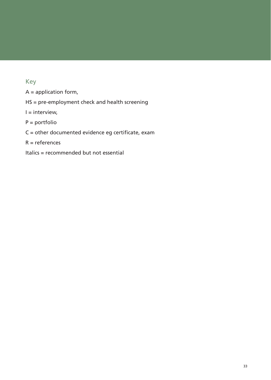## Key

A = application form,

HS = pre-employment check and health screening

 $I =$  interview,

P = portfolio

C = other documented evidence eg certificate, exam

 $R =$  references

Italics = recommended but not essential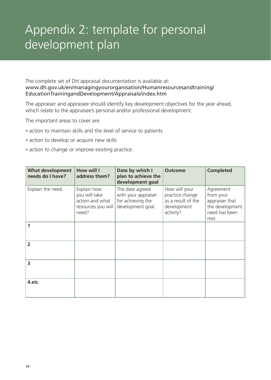# Appendix 2: template for personal development plan

The complete set of DH appraisal documentation is available at: www.dh.gov.uk/en/managingyourorganisation/Humanresourcesandtraining/ EducationTrainingandDevelopment/Appraisals/index.htm

The appraiser and appraisee should identify key development objectives for the year ahead, which relate to the appraisee's personal and/or professional development.

The important areas to cover are:

- action to maintain skills and the level of service to patients
- action to develop or acquire new skills
- action to change or improve existing practice.

| <b>What development</b><br>needs do I have? | How will I<br>address them?                                                    | Date by which I<br>plan to achieve the<br>development goal                       | <b>Outcome</b>                                                                     | <b>Completed</b>                                                                     |
|---------------------------------------------|--------------------------------------------------------------------------------|----------------------------------------------------------------------------------|------------------------------------------------------------------------------------|--------------------------------------------------------------------------------------|
| Explain the need.                           | Explain how<br>you will take<br>action and what<br>resources you will<br>need? | The date agreed<br>with your appraiser<br>for achieving the<br>development goal. | How will your<br>practice change<br>as a result of the<br>development<br>activity? | Agreement<br>from your<br>appraiser that<br>the development<br>need has been<br>met. |
| 1                                           |                                                                                |                                                                                  |                                                                                    |                                                                                      |
| $\overline{2}$                              |                                                                                |                                                                                  |                                                                                    |                                                                                      |
| 3                                           |                                                                                |                                                                                  |                                                                                    |                                                                                      |
| 4.etc                                       |                                                                                |                                                                                  |                                                                                    |                                                                                      |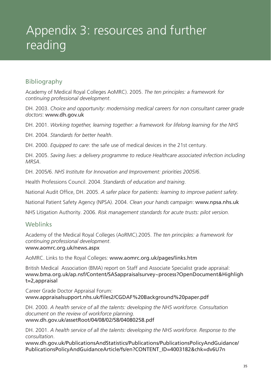# Appendix 3: resources and further reading

## Bibliography

Academy of Medical Royal Colleges AoMRC). 2005. *The ten principles: a framework for continuing professional development*.

DH. 2003. *Choice and opportunity: modernising medical careers for non consultant career grade doctors*: www.dh.gov.uk

DH. 2001. *Working together, learning together: a framework for lifelong learning for the NHS*

DH. 2004. *Standards for better health*.

DH. 2000. *Equipped to care*: the safe use of medical devices in the 21st century.

DH. 2005. *Saving lives: a delivery programme to reduce Healthcare associated infection including MRSA*.

DH. 2005/6. *NHS Institute for Innovation and Improvement: priorities 2005/6*.

Health Professions Council. 2004. *Standards of education and training*.

National Audit Office, DH. 2005. *A safer place for patients: learning to improve patient safety*.

National Patient Safety Agency (NPSA). 2004. *Clean your hands campaign*: www.npsa.nhs.uk

NHS Litigation Authority. 2006. *Risk management standards for acute trusts: pilot version*.

### **Weblinks**

Academy of the Medical Royal Colleges (AoRMC).2005. *The ten principles: a framework for continuing professional development*.

#### www.aomrc.org.uk/news.aspx

AoMRC. Links to the Royal Colleges: www.aomrc.org.uk/pages/links.htm

British Medical Association (BMA) report on Staff and Associate Specialist grade appraisal: www.bma.org.uk/ap.nsf/Content/SASappraisalsurvey~process?OpenDocument&Highligh t=2,appraisal

Career Grade Doctor Appraisal Forum: www.appraisalsupport.nhs.uk/files2/CGDAF%20Background%20paper.pdf

DH. 2000. *A health service of all the talents: developing the NHS workforce. Consultation document on the review of workforce planning.* www.dh.gov.uk/assetRoot/04/08/02/58/04080258.pdf

DH. 2001. *A health service of all the talents: developing the NHS workforce. Response to the consultation*.

www.dh.gov.uk/PublicationsAndStatistics/Publications/PublicationsPolicyAndGuidance/ PublicationsPolicyAndGuidanceArticle/fs/en?CONTENT\_ID=4003182&chk=dv6U7n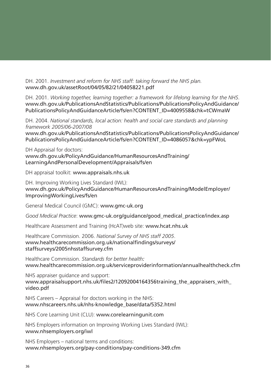DH. 2001. *Investment and reform for NHS staff: taking forward the NHS plan.* www.dh.gov.uk/assetRoot/04/05/82/21/04058221.pdf

DH. 2001. *Working together, learning together: a framework for lifelong learning for the NHS*. www.dh.gov.uk/PublicationsAndStatistics/Publications/PublicationsPolicyAndGuidance/ PublicationsPolicyAndGuidanceArticle/fs/en?CONTENT\_ID=4009558&chk=tCWmaW

DH. 2004. *National standards, local action: health and social care standards and planning framework 2005/06-2007/08*

www.dh.gov.uk/PublicationsAndStatistics/Publications/PublicationsPolicyAndGuidance/ PublicationsPolicyAndGuidanceArticle/fs/en?CONTENT\_ID=4086057&chk=ypFWoL

DH Appraisal for doctors:

www.dh.gov.uk/PolicyAndGuidance/HumanResourcesAndTraining/ LearningAndPersonalDevelopment/Appraisals/fs/en

DH appraisal toolkit: www.appraisals.nhs.uk

DH. Improving Working Lives Standard (IWL): www.dh.gov.uk/PolicyAndGuidance/HumanResourcesAndTraining/ModelEmployer/ ImprovingWorkingLives/fs/en

General Medical Council (GMC): www.gmc-uk.org

*Good Medical Practice*: www.gmc-uk.org/guidance/good\_medical\_practice/index.asp

Healthcare Assessment and Training (HcAT)web site: www.hcat.nhs.uk

Healthcare Commission. 2006. *National Survey of NHS staff 2005*. www.healthcarecommission.org.uk/nationalfindings/surveys/ staffsurveys/2005nhsstaffsurvey.cfm

Healthcare Commission. *Standards for better health:* www.healthcarecommission.org.uk/serviceproviderinformation/annualhealthcheck.cfm

NHS appraiser guidance and support: www.appraisalsupport.nhs.uk/files2/12092004164356training\_the\_appraisers\_with\_ video.pdf

NHS Careers – Appraisal for doctors working in the NHS: www.nhscareers.nhs.uk/nhs-knowledge\_base/data/5352.html

NHS Core Learning Unit (CLU): www.corelearningunit.com

NHS Employers information on Improving Working Lives Standard (IWL): www.nhsemployers.org/iwl

NHS Employers – national terms and conditions: www.nhsemployers.org/pay-conditions/pay-conditions-349.cfm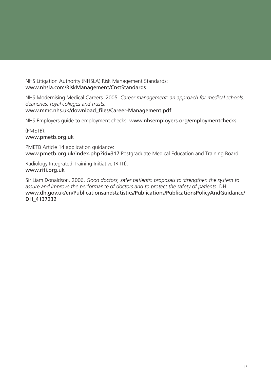NHS Litigation Authority (NHSLA) Risk Management Standards: www.nhsla.com/RiskManagement/CnstStandards

NHS Modernising Medical Careers. 2005. *Career management: an approach for medical schools, deaneries, royal colleges and trusts.* www.mmc.nhs.uk/download\_files/Career-Management.pdf

NHS Employers guide to employment checks: www.nhsemployers.org/employmentchecks

(PMETB): www.pmetb.org.uk

PMETB Article 14 application guidance: www.pmetb.org.uk/index.php?id=317 Postgraduate Medical Education and Training Board

Radiology Integrated Training Initiative (R-ITI): www.riti.org.uk

Sir Liam Donaldson. 2006. *Good doctors, safer patients: proposals to strengthen the system to assure and improve the performance of doctors and to protect the safety of patients.* DH. www.dh.gov.uk/en/Publicationsandstatistics/Publications/PublicationsPolicyAndGuidance/ DH\_4137232